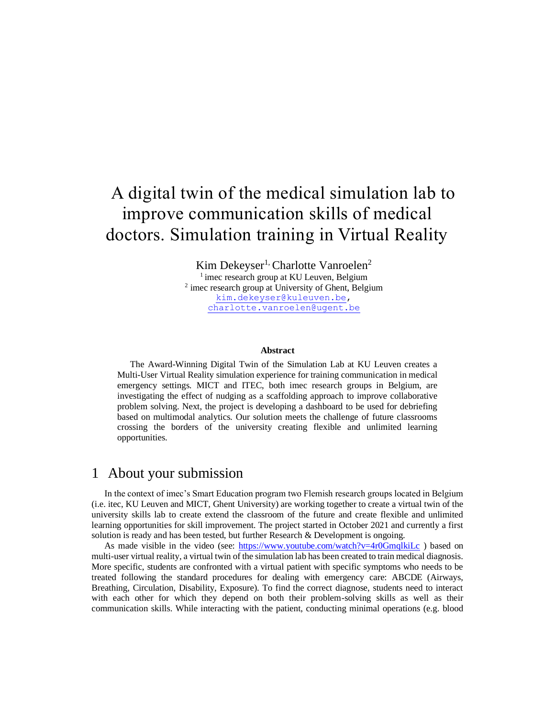# A digital twin of the medical simulation lab to improve communication skills of medical doctors. Simulation training in Virtual Reality

Kim Dekeyser<sup>1,</sup> Charlotte Vanroelen<sup>2</sup> <sup>1</sup> imec research group at KU Leuven, Belgium <sup>2</sup> imec research group at University of Ghent, Belgium [kim.dekeyser@kuleuven.be,](mailto:kim.dekeyser@kuleuven.be) [charlotte.vanroelen@ugent.be](mailto:charlotte.vanroelen@ugent.be)

#### **Abstract**

The Award-Winning Digital Twin of the Simulation Lab at KU Leuven creates a Multi-User Virtual Reality simulation experience for training communication in medical emergency settings. MICT and ITEC, both imec research groups in Belgium, are investigating the effect of nudging as a scaffolding approach to improve collaborative problem solving. Next, the project is developing a dashboard to be used for debriefing based on multimodal analytics. Our solution meets the challenge of future classrooms crossing the borders of the university creating flexible and unlimited learning opportunities.

#### 1 About your submission

In the context of imec's Smart Education program two Flemish research groups located in Belgium (i.e. itec, KU Leuven and MICT, Ghent University) are working together to create a virtual twin of the university skills lab to create extend the classroom of the future and create flexible and unlimited learning opportunities for skill improvement. The project started in October 2021 and currently a first solution is ready and has been tested, but further Research & Development is ongoing.

As made visible in the video (see:<https://www.youtube.com/watch?v=4r0GmqlkiLc>) based on multi-user virtual reality, a virtual twin of the simulation lab has been created to train medical diagnosis. More specific, students are confronted with a virtual patient with specific symptoms who needs to be treated following the standard procedures for dealing with emergency care: ABCDE (Airways, Breathing, Circulation, Disability, Exposure). To find the correct diagnose, students need to interact with each other for which they depend on both their problem-solving skills as well as their communication skills. While interacting with the patient, conducting minimal operations (e.g. blood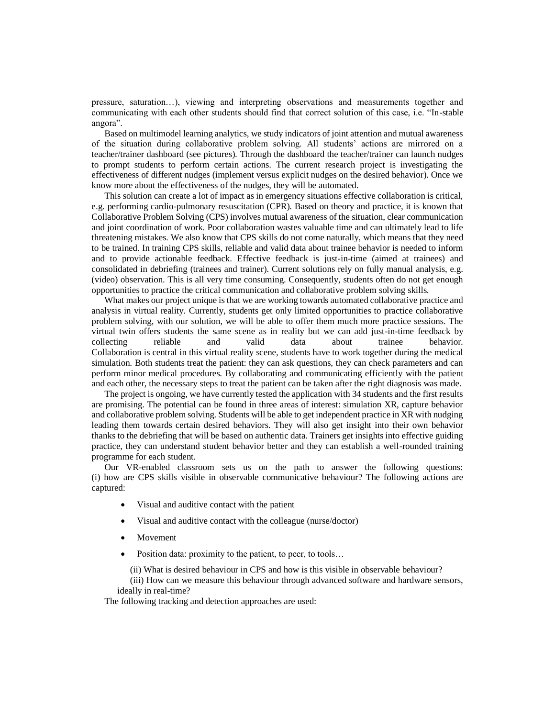pressure, saturation…), viewing and interpreting observations and measurements together and communicating with each other students should find that correct solution of this case, i.e. "In-stable angora".

Based on multimodel learning analytics, we study indicators of joint attention and mutual awareness of the situation during collaborative problem solving. All students' actions are mirrored on a teacher/trainer dashboard (see pictures). Through the dashboard the teacher/trainer can launch nudges to prompt students to perform certain actions. The current research project is investigating the effectiveness of different nudges (implement versus explicit nudges on the desired behavior). Once we know more about the effectiveness of the nudges, they will be automated.

This solution can create a lot of impact as in emergency situations effective collaboration is critical, e.g. performing cardio-pulmonary resuscitation (CPR). Based on theory and practice, it is known that Collaborative Problem Solving (CPS) involves mutual awareness of the situation, clear communication and joint coordination of work. Poor collaboration wastes valuable time and can ultimately lead to life threatening mistakes. We also know that CPS skills do not come naturally, which means that they need to be trained. In training CPS skills, reliable and valid data about trainee behavior is needed to inform and to provide actionable feedback. Effective feedback is just-in-time (aimed at trainees) and consolidated in debriefing (trainees and trainer). Current solutions rely on fully manual analysis, e.g. (video) observation. This is all very time consuming. Consequently, students often do not get enough opportunities to practice the critical communication and collaborative problem solving skills.

What makes our project unique is that we are working towards automated collaborative practice and analysis in virtual reality. Currently, students get only limited opportunities to practice collaborative problem solving, with our solution, we will be able to offer them much more practice sessions. The virtual twin offers students the same scene as in reality but we can add just-in-time feedback by collecting reliable and valid data about trainee behavior. Collaboration is central in this virtual reality scene, students have to work together during the medical simulation. Both students treat the patient: they can ask questions, they can check parameters and can perform minor medical procedures. By collaborating and communicating efficiently with the patient and each other, the necessary steps to treat the patient can be taken after the right diagnosis was made.

The project is ongoing, we have currently tested the application with 34 students and the first results are promising. The potential can be found in three areas of interest: simulation XR, capture behavior and collaborative problem solving. Students will be able to get independent practice in XR with nudging leading them towards certain desired behaviors. They will also get insight into their own behavior thanks to the debriefing that will be based on authentic data. Trainers get insights into effective guiding practice, they can understand student behavior better and they can establish a well-rounded training programme for each student.

Our VR-enabled classroom sets us on the path to answer the following questions: (i) how are CPS skills visible in observable communicative behaviour? The following actions are captured:

- Visual and auditive contact with the patient
- Visual and auditive contact with the colleague (nurse/doctor)
- **Movement**
- Position data: proximity to the patient, to peer, to tools...

(ii) What is desired behaviour in CPS and how is this visible in observable behaviour?

(iii) How can we measure this behaviour through advanced software and hardware sensors, ideally in real-time?

The following tracking and detection approaches are used: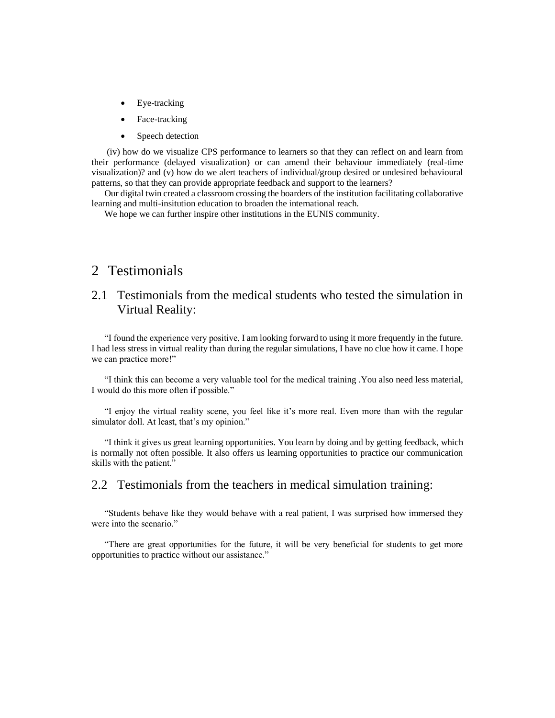- Eye-tracking
- Face-tracking
- Speech detection

(iv) how do we visualize CPS performance to learners so that they can reflect on and learn from their performance (delayed visualization) or can amend their behaviour immediately (real-time visualization)? and (v) how do we alert teachers of individual/group desired or undesired behavioural patterns, so that they can provide appropriate feedback and support to the learners?

Our digital twin created a classroom crossing the boarders of the institution facilitating collaborative learning and multi-insitution education to broaden the international reach.

We hope we can further inspire other institutions in the EUNIS community.

## 2 Testimonials

### 2.1 Testimonials from the medical students who tested the simulation in Virtual Reality:

"I found the experience very positive, I am looking forward to using it more frequently in the future. I had less stress in virtual reality than during the regular simulations, I have no clue how it came. I hope we can practice more!"

"I think this can become a very valuable tool for the medical training .You also need less material, I would do this more often if possible."

"I enjoy the virtual reality scene, you feel like it's more real. Even more than with the regular simulator doll. At least, that's my opinion."

"I think it gives us great learning opportunities. You learn by doing and by getting feedback, which is normally not often possible. It also offers us learning opportunities to practice our communication skills with the patient."

#### 2.2 Testimonials from the teachers in medical simulation training:

"Students behave like they would behave with a real patient, I was surprised how immersed they were into the scenario."

"There are great opportunities for the future, it will be very beneficial for students to get more opportunities to practice without our assistance."